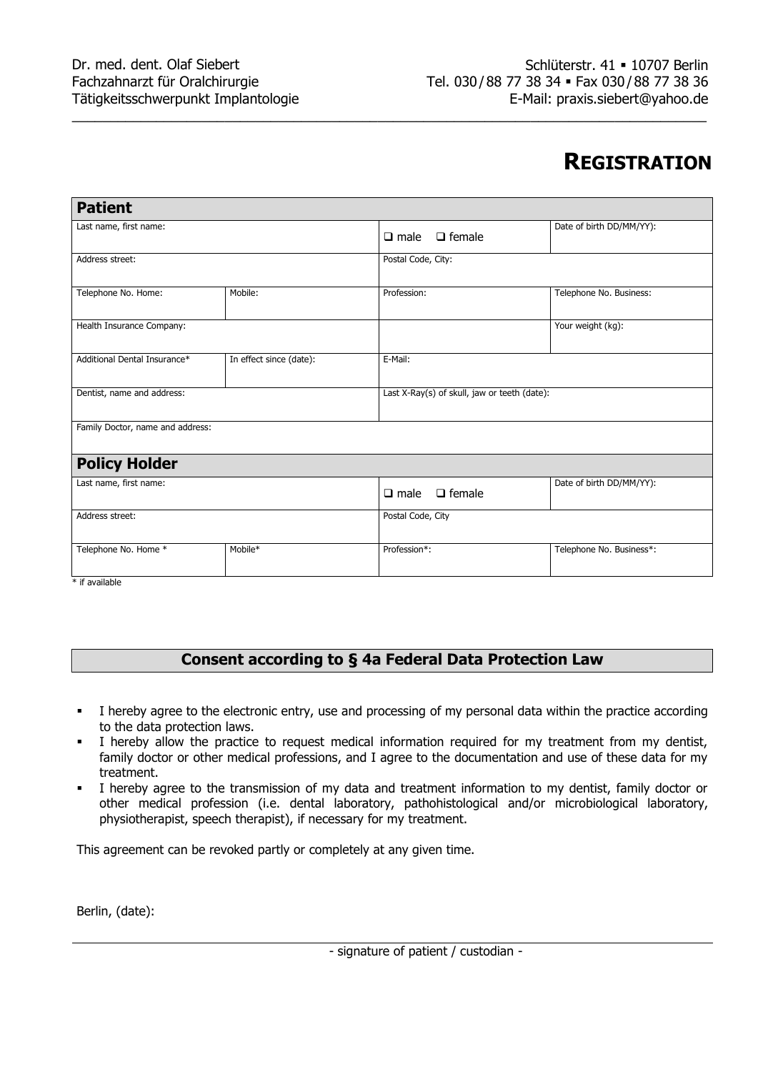# **REGISTRATION**

| <b>Patient</b>                   |                         |                                              |                          |
|----------------------------------|-------------------------|----------------------------------------------|--------------------------|
| Last name, first name:           |                         | $\Box$ male $\Box$ female                    | Date of birth DD/MM/YY): |
| Address street:                  |                         | Postal Code, City:                           |                          |
| Telephone No. Home:              | Mobile:                 | Profession:                                  | Telephone No. Business:  |
| Health Insurance Company:        |                         |                                              | Your weight (kg):        |
| Additional Dental Insurance*     | In effect since (date): | E-Mail:                                      |                          |
| Dentist, name and address:       |                         | Last X-Ray(s) of skull, jaw or teeth (date): |                          |
| Family Doctor, name and address: |                         |                                              |                          |
| <b>Policy Holder</b>             |                         |                                              |                          |
| Last name, first name:           |                         | $\Box$ female<br>$\Box$ male                 | Date of birth DD/MM/YY): |
| Address street:                  |                         | Postal Code, City                            |                          |
| Telephone No. Home *             | Mobile*                 | Profession*:                                 | Telephone No. Business*: |
| $*$ if $sub$                     |                         |                                              |                          |

\_\_\_\_\_\_\_\_\_\_\_\_\_\_\_\_\_\_\_\_\_\_\_\_\_\_\_\_\_\_\_\_\_\_\_\_\_\_\_\_\_\_\_\_\_\_\_\_\_\_\_\_\_\_\_\_\_\_\_\_\_\_\_\_\_\_\_\_\_\_\_\_\_\_\_\_\_\_\_\_\_\_\_

if available

# **Consent according to § 4a Federal Data Protection Law**

- I hereby agree to the electronic entry, use and processing of my personal data within the practice according to the data protection laws.
- I hereby allow the practice to request medical information required for my treatment from my dentist, family doctor or other medical professions, and I agree to the documentation and use of these data for my treatment.
- I hereby agree to the transmission of my data and treatment information to my dentist, family doctor or other medical profession (i.e. dental laboratory, pathohistological and/or microbiological laboratory, physiotherapist, speech therapist), if necessary for my treatment.

This agreement can be revoked partly or completely at any given time.

Berlin, (date):